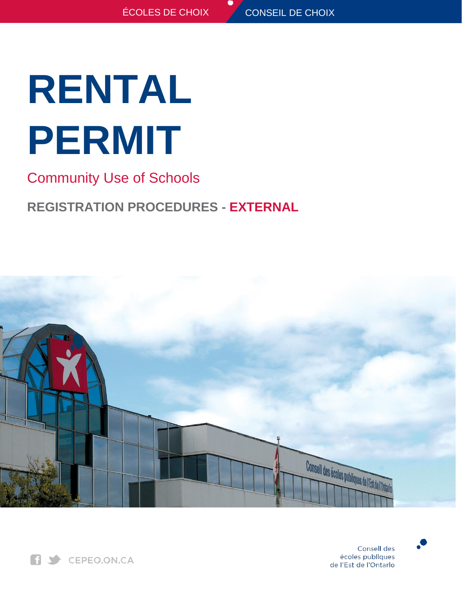# **RENTAL PERMIT**

Community Use of Schools

# **REGISTRATION PROCEDURES - EXTERNAL**





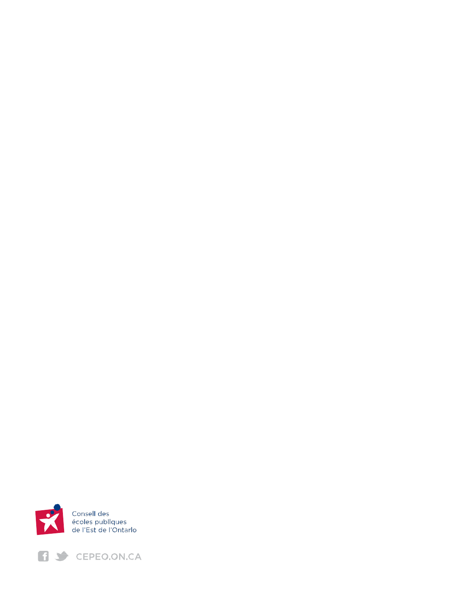

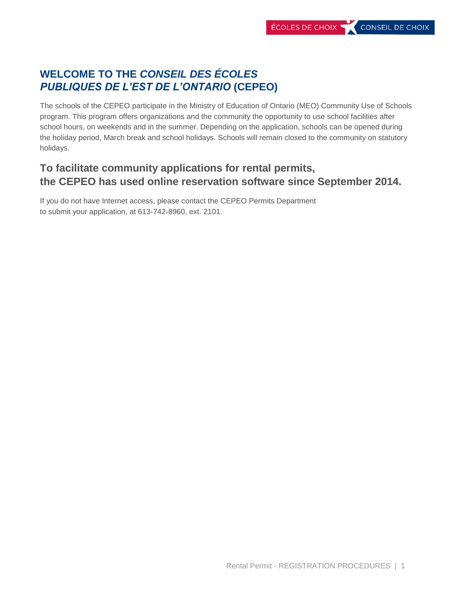# **WELCOME TO THE** *CONSEIL DES ÉCOLES PUBLIQUES DE L'EST DE L'ONTARIO* **(CEPEO)**

The schools of the CEPEO participate in the Ministry of Education of Ontario (MEO) Community Use of Schools program. This program offers organizations and the community the opportunity to use school facilities after school hours, on weekends and in the summer. Depending on the application, schools can be opened during the holiday period, March break and school holidays. Schools will remain closed to the community on statutory holidays.

# **To facilitate community applications for rental permits, the CEPEO has used online reservation software since September 2014.**

If you do not have Internet access, please contact the CEPEO Permits Department to submit your application, at 613-742-8960, ext. 2101.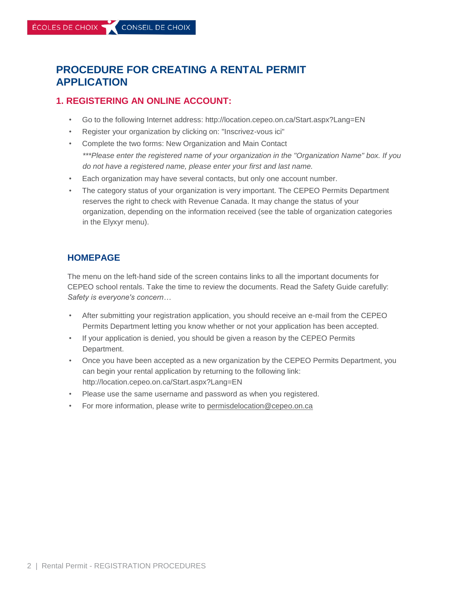# **PROCEDURE FOR CREATING A RENTAL PERMIT APPLICATION**

#### **1. REGISTERING AN ONLINE ACCOUNT:**

- Go to the following Internet address: http://location.cepeo.on.ca/Start.aspx?Lang=EN
- Register your organization by clicking on: "Inscrivez-vous ici"
- Complete the two forms: New Organization and Main Contact *\*\*\*Please enter the registered name of your organization in the "Organization Name" box. If you do not have a registered name, please enter your first and last name.*
- Each organization may have several contacts, but only one account number.
- The category status of your organization is very important. The CEPEO Permits Department reserves the right to check with Revenue Canada. It may change the status of your organization, depending on the information received (see the table of organization categories in the Elyxyr menu).

### **HOMEPAGE**

The menu on the left-hand side of the screen contains links to all the important documents for CEPEO school rentals. Take the time to review the documents. Read the Safety Guide carefully: *Safety is everyone's concern…*

- After submitting your registration application, you should receive an e-mail from the CEPEO Permits Department letting you know whether or not your application has been accepted.
- If your application is denied, you should be given a reason by the CEPEO Permits Department.
- Once you have been accepted as a new organization by the CEPEO Permits Department, you can begin your rental application by returning to the following link: http://location.cepeo.on.ca/Start.aspx?Lang=EN
- Please use the same username and password as when you registered.
- For more information, please write to [permisdelocation@cepeo.on.ca](mailto:permisdelocation@cepeo.on.ca)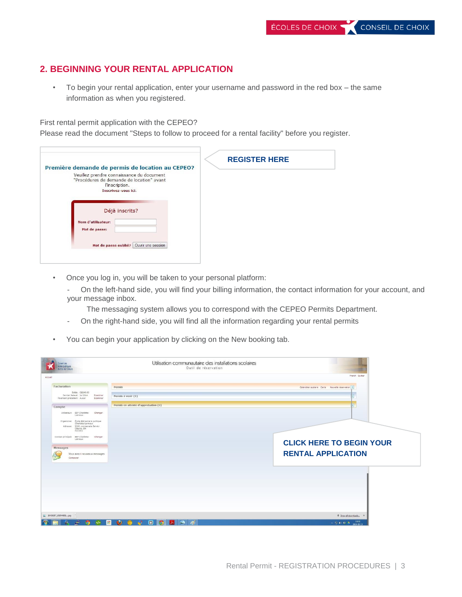## **2. BEGINNING YOUR RENTAL APPLICATION**

• To begin your rental application, enter your username and password in the red box – the same information as when you registered.

First rental permit application with the CEPEO?

Please read the document "Steps to follow to proceed for a rental facility" before you register.

| Première demande de permis de location au CEPEO?                                                                                                  | <b>REGISTER HERE</b> |
|---------------------------------------------------------------------------------------------------------------------------------------------------|----------------------|
| Veuillez prendre connaissance du document<br>"Procédures de demande de location" avant<br>l'inscription.<br>Inscrivez-vous ici.<br>Déjà inscrits? |                      |
| Nom d'utilisateur:<br>Mot de passe:<br>Ouvrir une session<br>Mot de passe oublié?                                                                 |                      |

• Once you log in, you will be taken to your personal platform:

- On the left-hand side, you will find your billing information, the contact information for your account, and your message inbox.

The messaging system allows you to correspond with the CEPEO Permits Department.

- On the right-hand side, you will find all the information regarding your rental permits
- You can begin your application by clicking on the New booking tab.

| Conseil des<br>écoles publiques<br>de l'Est de l'Ontario                                                                                                                           | Utilisation communautaire des installations scolaires<br>Outil de réservation |                                                              |
|------------------------------------------------------------------------------------------------------------------------------------------------------------------------------------|-------------------------------------------------------------------------------|--------------------------------------------------------------|
| Accueil                                                                                                                                                                            |                                                                               | French Quitter                                               |
| Facturation<br>Solde: C\$240.00<br>Dernier Relevé: Jul 2014<br>Examiner<br>Paiement précédent: Aucun<br>Examiner                                                                   | Permis<br>Permis à venir (1)                                                  | Calendrier scolaire Carte Nouvelle réservation &             |
| Compte<br>Utilisateur: EEP Charlotte- Changer<br>Lemieux<br>Organisme: École élémentaire publique<br>Charlotte-Lemieux<br>Adresse: 2093, promenade Bal-Air<br>Ottawa, ON<br>K2C0X2 | Permis en attente d'approbation (0)                                           |                                                              |
| Contact orincipal: EEP Charlotte-<br>Changer<br>Lemieux<br>Messages<br>Vous avez 0 nouveaux messages<br>Composer                                                                   |                                                                               | <b>CLICK HERE TO BEGIN YOUR</b><br><b>RENTAL APPLICATION</b> |
|                                                                                                                                                                                    |                                                                               |                                                              |
| $\frac{10439287}{101544851jpg}$                                                                                                                                                    |                                                                               | <b>#</b> Show all downloads x                                |
| 酬<br>a.<br>圓<br>$\bullet$<br>$\frac{1}{2}$                                                                                                                                         | $\bullet$ $\circ$<br><b>COLLEGE</b>                                           | $-1240$ to $-1333$<br>2014-08-13                             |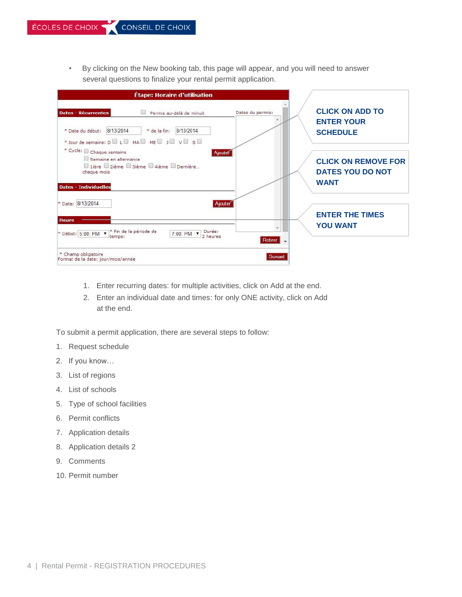• By clicking on the New booking tab, this page will appear, and you will need to answer several questions to finalize your rental permit application.

| Étape: Horaire d'utilisation                                                                                                                                             |                                                                                                        |
|--------------------------------------------------------------------------------------------------------------------------------------------------------------------------|--------------------------------------------------------------------------------------------------------|
| <b>Dates - Récurrentes</b><br>Permis au-delà de minuit<br>8/13/2014<br>8/13/2014<br>* Date du début:<br>* de la fin:<br>* Jour de semaine: D D L D MA D ME D J D V D S D | <b>CLICK ON ADD TO</b><br>Dates du permis:<br><b>ENTER YOUR</b><br><b>SCHEDULE</b>                     |
| * Cycle: $\Box$ Chaque semaine<br>Semaine en alternance<br>□ 1ière ■ 2ième ■ 3ième ■ 4ième ■ Dernière<br>chaque mois<br><b>Dates - Individuelles</b>                     | Ajouter<br><b>CLICK ON REMOVE FOR</b><br><b>DATES YOU DO NOT</b><br><b>WANT</b>                        |
| * Date: 8/13/2014<br><b>Heure</b><br>* Fin de la période de<br>* Début: 5:00: PM v<br>7:00: PM <b>v</b><br>temps:                                                        | Ajouter<br><b>ENTER THE TIMES</b><br><b>YOU WANT</b><br>Durée:<br>2 heures<br>Retirer<br>$\rightarrow$ |
| * Champ obligatoire<br>Format de la date: jour/mois/année                                                                                                                | Suivant                                                                                                |

- 1. Enter recurring dates: for multiple activities, click on Add at the end.
- 2. Enter an individual date and times: for only ONE activity, click on Add at the end.

To submit a permit application, there are several steps to follow:

- 1. Request schedule
- 2. If you know…
- 3. List of regions
- 4. List of schools
- 5. Type of school facilities
- 6. Permit conflicts
- 7. Application details
- 8. Application details 2
- 9. Comments
- 10. Permit number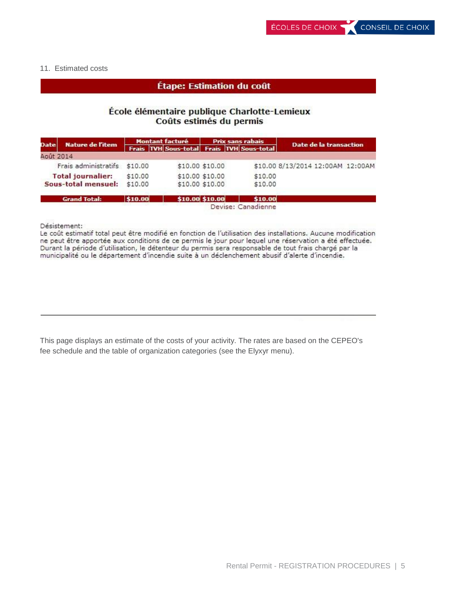#### 11. Estimated costs

#### Étape: Estimation du coût

#### École élémentaire publique Charlotte-Lemieux Coûts estimés du permis

|             | <b>Nature de l'item</b>      |         | <b>Montant facturé</b>                          | <b>Prix sans rabais</b> |         | Date de la transaction            |
|-------------|------------------------------|---------|-------------------------------------------------|-------------------------|---------|-----------------------------------|
| <b>Date</b> |                              |         | Frais   TVH Sous-total   Frais   TVH Sous-total |                         |         |                                   |
| Août 2014   |                              |         |                                                 |                         |         |                                   |
|             | Frais administratifs \$10.00 |         | \$10.00 \$10.00                                 |                         |         | \$10.00 8/13/2014 12:00AM 12:00AM |
|             | <b>Total journalier:</b>     | \$10.00 | \$10,00 \$10,00                                 |                         | \$10.00 |                                   |
|             | Sous-total mensuel:          | \$10.00 | \$10.00 \$10.00                                 |                         | \$10.00 |                                   |
|             | <b>Grand Total:</b>          | \$10.00 | \$10.00 \$10.00                                 |                         | \$10.00 |                                   |

Devise: Canadienne

Désistement:

Le coût estimatif total peut être modifié en fonction de l'utilisation des installations. Aucune modification ne peut être apportée aux conditions de ce permis le jour pour lequel une réservation a été effectuée. Durant la période d'utilisation, le détenteur du permis sera responsable de tout frais chargé par la municipalité ou le département d'incendie suite à un déclenchement abusif d'alerte d'incendie.

This page displays an estimate of the costs of your activity. The rates are based on the CEPEO's fee schedule and the table of organization categories (see the Elyxyr menu).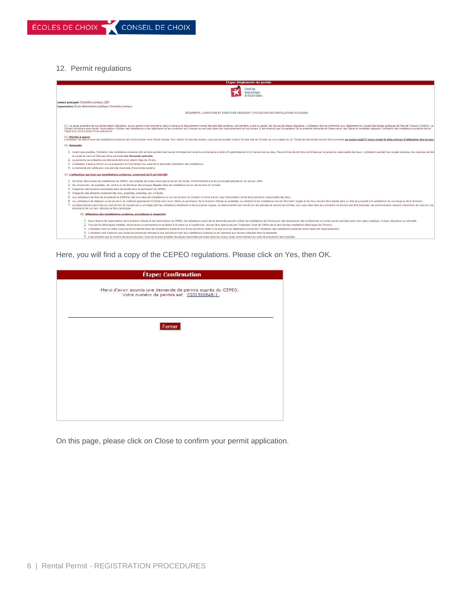#### 12. Permit regulations



Here, you will find a copy of the CEPEO regulations. Please click on Yes, then OK.

| <b>Étape: Confirmation</b>                                                                              |
|---------------------------------------------------------------------------------------------------------|
| Merci d'avoir soumis une demande de permis auprès du CEPEO.<br>Votre numéro de permis est 0201300648-1. |
| Fermer                                                                                                  |
|                                                                                                         |
|                                                                                                         |
|                                                                                                         |

On this page, please click on Close to confirm your permit application.